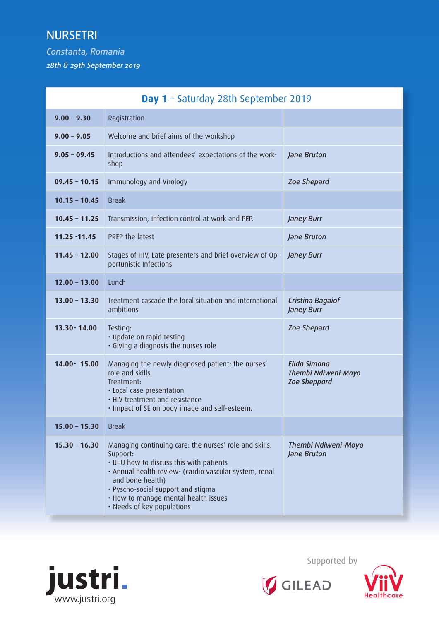## NURSETRI

*Constanta, Romania 28th & 29th September 2019*

| Day 1 - Saturday 28th September 2019 |                                                                                                                                                                                                                                                                                                         |                                                                          |
|--------------------------------------|---------------------------------------------------------------------------------------------------------------------------------------------------------------------------------------------------------------------------------------------------------------------------------------------------------|--------------------------------------------------------------------------|
| $9.00 - 9.30$                        | Registration                                                                                                                                                                                                                                                                                            |                                                                          |
| $9.00 - 9.05$                        | Welcome and brief aims of the workshop                                                                                                                                                                                                                                                                  |                                                                          |
| $9.05 - 09.45$                       | Introductions and attendees' expectations of the work-<br>shop                                                                                                                                                                                                                                          | Jane Bruton                                                              |
| $09.45 - 10.15$                      | Immunology and Virology                                                                                                                                                                                                                                                                                 | Zoe Shepard                                                              |
| $10.15 - 10.45$                      | <b>Break</b>                                                                                                                                                                                                                                                                                            |                                                                          |
| $10.45 - 11.25$                      | Transmission, infection control at work and PEP.                                                                                                                                                                                                                                                        | Janey Burr                                                               |
| $11.25 - 11.45$                      | PREP the latest                                                                                                                                                                                                                                                                                         | Jane Bruton                                                              |
| $11.45 - 12.00$                      | Stages of HIV, Late presenters and brief overview of Op-<br>portunistic Infections                                                                                                                                                                                                                      | Janey Burr                                                               |
| $12.00 - 13.00$                      | Lunch                                                                                                                                                                                                                                                                                                   |                                                                          |
| $13.00 - 13.30$                      | Treatment cascade the local situation and international<br>ambitions                                                                                                                                                                                                                                    | Cristina Bagaiof<br>Janey Burr                                           |
| $13.30 - 14.00$                      | Testing:<br>· Update on rapid testing<br>· Giving a diagnosis the nurses role                                                                                                                                                                                                                           | Zoe Shepard                                                              |
| 14.00-15.00                          | Managing the newly diagnosed patient: the nurses'<br>role and skills.<br>Treatment:<br>· Local case presentation<br>. HIV treatment and resistance<br>. Impact of SE on body image and self-esteem.                                                                                                     | <b>Elida Simona</b><br><b>Thembi Ndiweni-Moyo</b><br><b>Zoe Sheppard</b> |
| $15.00 - 15.30$                      | <b>Break</b>                                                                                                                                                                                                                                                                                            |                                                                          |
| $15.30 - 16.30$                      | Managing continuing care: the nurses' role and skills.<br>Support:<br>• U=U how to discuss this with patients<br>· Annual health review- (cardio vascular system, renal<br>and bone health)<br>· Pyscho-social support and stigma<br>. How to manage mental health issues<br>· Needs of key populations | Thembi Ndiweni-Moyo<br>Jane Bruton                                       |



Supported by